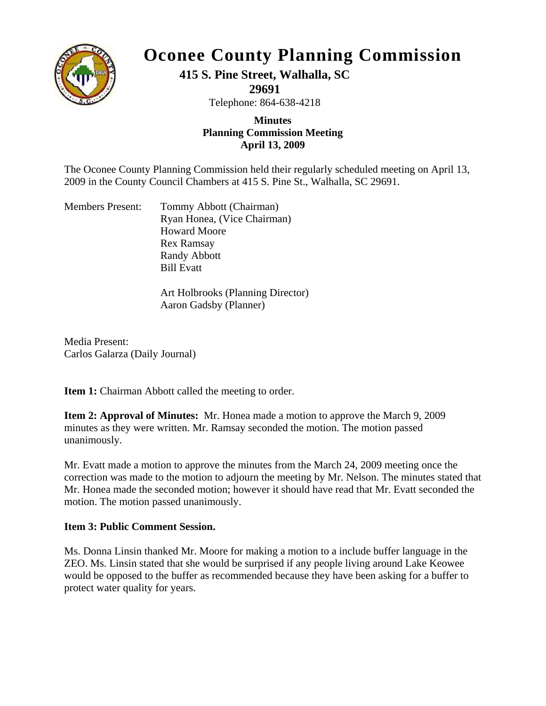

# **Oconee County Planning Commission**

# **415 S. Pine Street, Walhalla, SC**

**29691** 

Telephone: 864-638-4218

#### **Planning Commis sion Meeting Minutes April 13, 2009**

2009 in the County Council Chambers at 415 S. Pine St., Walhalla, SC 29691. The Oconee County Planning Commission held their regularly scheduled meeting on April 13,

| <b>Members Present:</b> | Tommy Abbott (Chairman)     |
|-------------------------|-----------------------------|
|                         | Ryan Honea, (Vice Chairman) |
|                         | <b>Howard Moore</b>         |
|                         | <b>Rex Ramsay</b>           |
|                         | Randy Abbott                |
|                         | <b>Bill Evatt</b>           |
|                         |                             |

Art Holbrooks (Planning Director) Aaron Gadsby (Planner)

Carlos Galarza (Daily Journal) Media Present:

Item 1: Chairman Abbott called the meeting to order.

minutes as they were written. Mr. Ramsay seconded the motion. The motion passed **Item 2: Approval of Minutes:** Mr. Honea made a motion to approve the March 9, 2009 unanimously.

Mr. Honea made the seconded motion; however it should have read that Mr. Evatt seconded the motion. The motion passed unanimously. Mr. Evatt made a motion to approve the minutes from the March 24, 2009 meeting once the correction was made to the motion to adjourn the meeting by Mr. Nelson. The minutes stated that

### **Item 3: Public Comment Session.**

would be opposed to the buffer as recommended because they have been asking for a buffer to protect water quality for years. Ms. Donna Linsin thanked Mr. Moore for making a motion to a include buffer language in the ZEO. Ms. Linsin stated that she would be surprised if any people living around Lake Keowee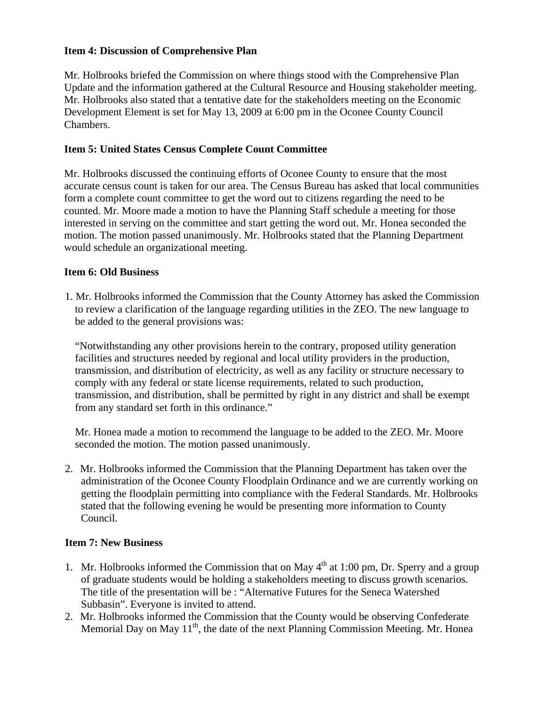#### **Item 4: Discussion of Comprehensive Plan**

Mr. Holbrooks briefed the Commission on where things stood with the Comprehensive Plan pdate and the information gathered at the Cultural Resource and Housing stakeholder meeting. U Mr. Holbrooks also stated that a tentative date for the stakeholders meeting on the Economic Development Element is set for May 13, 2009 at 6:00 pm in the Oconee County Council Chambers.

#### **Item 5: United States Census Complete Count Committee**

accurate census count is taken for our area. The Census Bureau has asked that local communities counted. Mr. Moore made a motion to have the Planning Staff schedule a meeting for those interested in serving on the committee and start getting the word out. Mr. Honea seconded the motion. The motion passed unanimously. Mr. Holbrooks stated that the Planning Department Mr. Holbrooks discussed the continuing efforts of Oconee County to ensure that the most form a complete count committee to get the word out to citizens regarding the need to be would schedule an organizational meeting.

#### **Ite m 6: Old Business**

1. Mr. Holbrooks informed the Commission that the County Attorney has asked the Commission to to review a clarification of the language regarding utilities in the ZEO. The new language be added to the general provisions was:

transmission, and distribution of electricity, as well as any facility or structure necessary to "Notwithstanding any other provisions herein to the contrary, proposed utility generation facilities and structures needed by regional and local utility providers in the production, comply with any federal or state license requirements, related to such production, transmission, and distribution, shall be permitted by right in any district and shall be exempt from any standard set forth in this ordinance."

s econded the motion. The motion passed unanimously. Mr. Honea made a motion to recommend the language to be added to the ZEO. Mr. Moore

2. Mr. Holbrooks informed the Commission that the Planning Department has taken over the administration of the Oconee County Floodplain Ordinance and we are currently working on getting the floodplain permitting into compliance with the Federal Standards. Mr. Holbrooks stated that the following evening he would be presenting more information to County Council.

#### **Item 7: New Business**

- 1. Mr. Holbrooks informed the Commission that on May  $4<sup>th</sup>$  at 1:00 pm, Dr. Sperry and a group of graduate students would be holding a stakeholders meeting to discuss growth scenarios. The title of the presentation will be : "Alternative Futures for the Seneca Watershed Subbasin". Everyone is invited to attend.
- 2. Mr. Holbrooks informed the Commission that the County would be observing Confederate Memorial Day on May  $11<sup>th</sup>$ , the date of the next Planning Commission Meeting. Mr. Honea